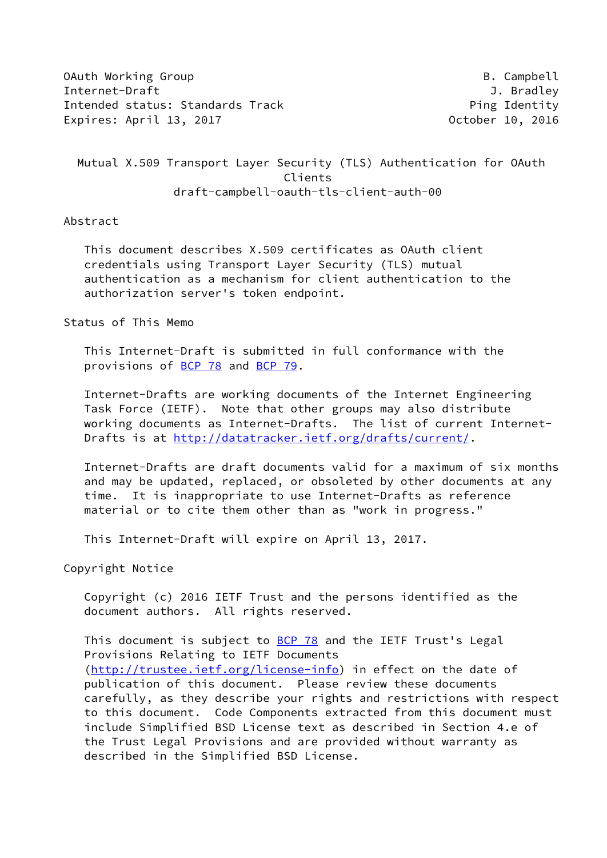OAuth Working Group **B. Campbell** Internet-Draft J. Bradley Intended status: Standards Track example and the Ping Identity Expires: April 13, 2017 October 10, 2016

 Mutual X.509 Transport Layer Security (TLS) Authentication for OAuth Clients draft-campbell-oauth-tls-client-auth-00

Abstract

 This document describes X.509 certificates as OAuth client credentials using Transport Layer Security (TLS) mutual authentication as a mechanism for client authentication to the authorization server's token endpoint.

Status of This Memo

 This Internet-Draft is submitted in full conformance with the provisions of [BCP 78](https://datatracker.ietf.org/doc/pdf/bcp78) and [BCP 79](https://datatracker.ietf.org/doc/pdf/bcp79).

 Internet-Drafts are working documents of the Internet Engineering Task Force (IETF). Note that other groups may also distribute working documents as Internet-Drafts. The list of current Internet- Drafts is at<http://datatracker.ietf.org/drafts/current/>.

 Internet-Drafts are draft documents valid for a maximum of six months and may be updated, replaced, or obsoleted by other documents at any time. It is inappropriate to use Internet-Drafts as reference material or to cite them other than as "work in progress."

This Internet-Draft will expire on April 13, 2017.

Copyright Notice

 Copyright (c) 2016 IETF Trust and the persons identified as the document authors. All rights reserved.

This document is subject to **[BCP 78](https://datatracker.ietf.org/doc/pdf/bcp78)** and the IETF Trust's Legal Provisions Relating to IETF Documents [\(http://trustee.ietf.org/license-info](http://trustee.ietf.org/license-info)) in effect on the date of publication of this document. Please review these documents carefully, as they describe your rights and restrictions with respect to this document. Code Components extracted from this document must include Simplified BSD License text as described in Section 4.e of the Trust Legal Provisions and are provided without warranty as described in the Simplified BSD License.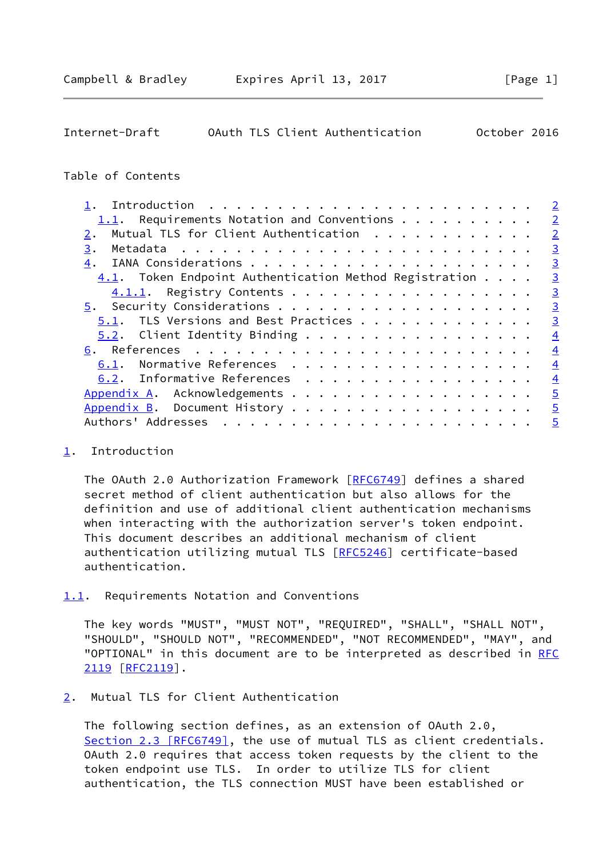<span id="page-1-1"></span>

| Internet-Draft |  | OAuth TLS Client Authentication | October 2016 |  |
|----------------|--|---------------------------------|--------------|--|
|                |  |                                 |              |  |

## Table of Contents

|                                                           | $\overline{2}$ |
|-----------------------------------------------------------|----------------|
| 1.1. Requirements Notation and Conventions $\cdots$       | $\overline{2}$ |
| Mutual TLS for Client Authentication                      | $\overline{2}$ |
| 3.                                                        | $\overline{3}$ |
| 4.                                                        | $\overline{3}$ |
| $4.1$ . Token Endpoint Authentication Method Registration | $\overline{3}$ |
| 4.1.1. Registry Contents                                  | $\overline{3}$ |
|                                                           | $\overline{3}$ |
| 5.1. TLS Versions and Best Practices                      | $\overline{3}$ |
| $5.2$ . Client Identity Binding                           | $\overline{4}$ |
|                                                           | $\overline{4}$ |
| 6.1. Normative References                                 | $\overline{4}$ |
| 6.2. Informative References                               | $\overline{4}$ |
| Appendix A. Acknowledgements                              | $\overline{5}$ |
|                                                           | $\overline{5}$ |
| Authors' Addresses                                        | $\overline{5}$ |
|                                                           |                |

## <span id="page-1-0"></span>[1](#page-1-0). Introduction

The OAuth 2.0 Authorization Framework [[RFC6749](https://datatracker.ietf.org/doc/pdf/rfc6749)] defines a shared secret method of client authentication but also allows for the definition and use of additional client authentication mechanisms when interacting with the authorization server's token endpoint. This document describes an additional mechanism of client authentication utilizing mutual TLS [\[RFC5246](https://datatracker.ietf.org/doc/pdf/rfc5246)] certificate-based authentication.

<span id="page-1-2"></span>[1.1](#page-1-2). Requirements Notation and Conventions

 The key words "MUST", "MUST NOT", "REQUIRED", "SHALL", "SHALL NOT", "SHOULD", "SHOULD NOT", "RECOMMENDED", "NOT RECOMMENDED", "MAY", and "OPTIONAL" in this document are to be interpreted as described in [RFC](https://datatracker.ietf.org/doc/pdf/rfc2119) [2119](https://datatracker.ietf.org/doc/pdf/rfc2119) [\[RFC2119](https://datatracker.ietf.org/doc/pdf/rfc2119)].

<span id="page-1-3"></span>[2](#page-1-3). Mutual TLS for Client Authentication

 The following section defines, as an extension of OAuth 2.0, Section [2.3 \[RFC6749\]](https://datatracker.ietf.org/doc/pdf/rfc6749#section-2.3), the use of mutual TLS as client credentials. OAuth 2.0 requires that access token requests by the client to the token endpoint use TLS. In order to utilize TLS for client authentication, the TLS connection MUST have been established or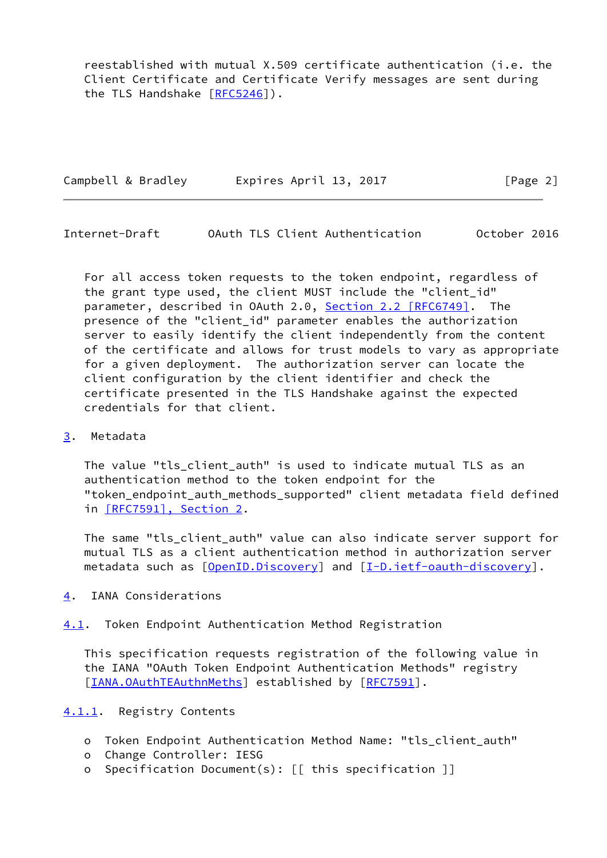reestablished with mutual X.509 certificate authentication (i.e. the Client Certificate and Certificate Verify messages are sent during the TLS Handshake [[RFC5246](https://datatracker.ietf.org/doc/pdf/rfc5246)]).

| Campbell & Bradley | Expires April 13, 2017 | [Page 2] |
|--------------------|------------------------|----------|
|                    |                        |          |

<span id="page-2-1"></span>Internet-Draft OAuth TLS Client Authentication October 2016

 For all access token requests to the token endpoint, regardless of the grant type used, the client MUST include the "client\_id" parameter, described in OAuth 2.0, Section [2.2 \[RFC6749\].](https://datatracker.ietf.org/doc/pdf/rfc6749#section-2.2) The presence of the "client\_id" parameter enables the authorization server to easily identify the client independently from the content of the certificate and allows for trust models to vary as appropriate for a given deployment. The authorization server can locate the client configuration by the client identifier and check the certificate presented in the TLS Handshake against the expected credentials for that client.

# <span id="page-2-0"></span>[3](#page-2-0). Metadata

 The value "tls\_client\_auth" is used to indicate mutual TLS as an authentication method to the token endpoint for the "token\_endpoint\_auth\_methods\_supported" client metadata field defined in [\[RFC7591\], Section](https://datatracker.ietf.org/doc/pdf/rfc7591#section-2) 2.

 The same "tls\_client\_auth" value can also indicate server support for mutual TLS as a client authentication method in authorization server metadata such as  $[OpenID.Discovery]$  $[OpenID.Discovery]$  and  $[I-D.iett-eault-discovery]$ .

- <span id="page-2-2"></span>[4](#page-2-2). IANA Considerations
- <span id="page-2-3"></span>[4.1](#page-2-3). Token Endpoint Authentication Method Registration

 This specification requests registration of the following value in the IANA "OAuth Token Endpoint Authentication Methods" registry [\[IANA.OAuthTEAuthnMeths](#page-4-6)] established by [\[RFC7591](https://datatracker.ietf.org/doc/pdf/rfc7591)].

<span id="page-2-4"></span>[4.1.1](#page-2-4). Registry Contents

- o Token Endpoint Authentication Method Name: "tls\_client\_auth"
- o Change Controller: IESG
- o Specification Document(s): [[ this specification ]]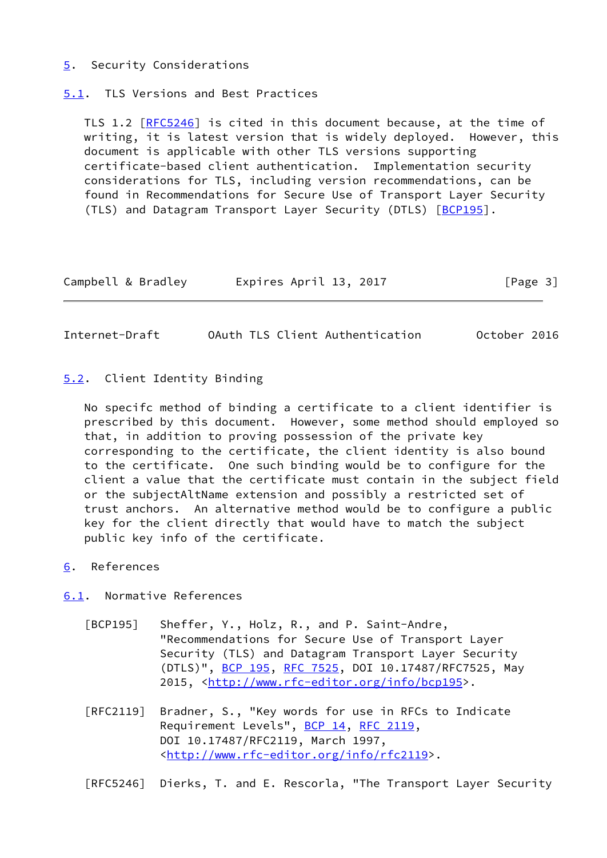### <span id="page-3-0"></span>[5](#page-3-0). Security Considerations

<span id="page-3-1"></span>[5.1](#page-3-1). TLS Versions and Best Practices

TLS 1.2 [\[RFC5246](https://datatracker.ietf.org/doc/pdf/rfc5246)] is cited in this document because, at the time of writing, it is latest version that is widely deployed. However, this document is applicable with other TLS versions supporting certificate-based client authentication. Implementation security considerations for TLS, including version recommendations, can be found in Recommendations for Secure Use of Transport Layer Security (TLS) and Datagram Transport Layer Security (DTLS) [[BCP195](#page-3-6)].

| Campbell & Bradley | Expires April 13, 2017 | [Page 3] |
|--------------------|------------------------|----------|
|--------------------|------------------------|----------|

<span id="page-3-3"></span>Internet-Draft OAuth TLS Client Authentication October 2016

### <span id="page-3-2"></span>[5.2](#page-3-2). Client Identity Binding

 No specifc method of binding a certificate to a client identifier is prescribed by this document. However, some method should employed so that, in addition to proving possession of the private key corresponding to the certificate, the client identity is also bound to the certificate. One such binding would be to configure for the client a value that the certificate must contain in the subject field or the subjectAltName extension and possibly a restricted set of trust anchors. An alternative method would be to configure a public key for the client directly that would have to match the subject public key info of the certificate.

<span id="page-3-4"></span>[6](#page-3-4). References

<span id="page-3-5"></span>[6.1](#page-3-5). Normative References

- <span id="page-3-6"></span> [BCP195] Sheffer, Y., Holz, R., and P. Saint-Andre, "Recommendations for Secure Use of Transport Layer Security (TLS) and Datagram Transport Layer Security (DTLS)", [BCP 195,](https://datatracker.ietf.org/doc/pdf/bcp195) [RFC 7525](https://datatracker.ietf.org/doc/pdf/rfc7525), DOI 10.17487/RFC7525, May 2015, [<http://www.rfc-editor.org/info/bcp195>](http://www.rfc-editor.org/info/bcp195).
- [RFC2119] Bradner, S., "Key words for use in RFCs to Indicate Requirement Levels", [BCP 14](https://datatracker.ietf.org/doc/pdf/bcp14), [RFC 2119](https://datatracker.ietf.org/doc/pdf/rfc2119), DOI 10.17487/RFC2119, March 1997, <<http://www.rfc-editor.org/info/rfc2119>>.

[RFC5246] Dierks, T. and E. Rescorla, "The Transport Layer Security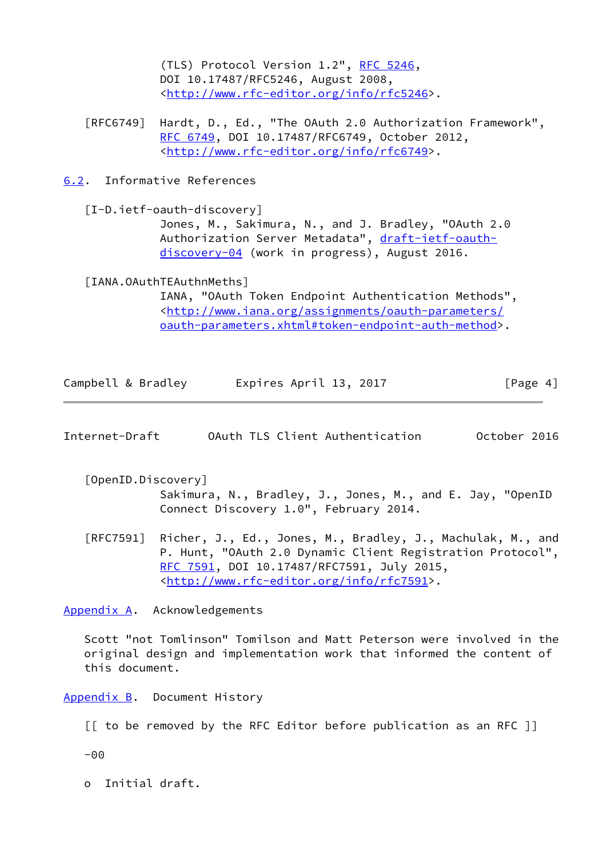(TLS) Protocol Version 1.2", [RFC 5246](https://datatracker.ietf.org/doc/pdf/rfc5246), DOI 10.17487/RFC5246, August 2008, <<http://www.rfc-editor.org/info/rfc5246>>.

 [RFC6749] Hardt, D., Ed., "The OAuth 2.0 Authorization Framework", [RFC 6749,](https://datatracker.ietf.org/doc/pdf/rfc6749) DOI 10.17487/RFC6749, October 2012, <<http://www.rfc-editor.org/info/rfc6749>>.

<span id="page-4-0"></span>[6.2](#page-4-0). Informative References

<span id="page-4-5"></span> [I-D.ietf-oauth-discovery] Jones, M., Sakimura, N., and J. Bradley, "OAuth 2.0 Authorization Server Metadata", [draft-ietf-oauth](https://datatracker.ietf.org/doc/pdf/draft-ietf-oauth-discovery-04) [discovery-04](https://datatracker.ietf.org/doc/pdf/draft-ietf-oauth-discovery-04) (work in progress), August 2016.

<span id="page-4-6"></span>[IANA.OAuthTEAuthnMeths]

 IANA, "OAuth Token Endpoint Authentication Methods", <[http://www.iana.org/assignments/oauth-parameters/](http://www.iana.org/assignments/oauth-parameters/oauth-parameters.xhtml#token-endpoint-auth-method) [oauth-parameters.xhtml#token-endpoint-auth-method>](http://www.iana.org/assignments/oauth-parameters/oauth-parameters.xhtml#token-endpoint-auth-method).

| Campbell & Bradley | Expires April 13, 2017 | [Page 4] |
|--------------------|------------------------|----------|
|                    |                        |          |

<span id="page-4-2"></span>

| Internet-Draft |  |  | OAuth TLS Client Authentication | October 2016 |  |
|----------------|--|--|---------------------------------|--------------|--|
|----------------|--|--|---------------------------------|--------------|--|

- <span id="page-4-4"></span> [OpenID.Discovery] Sakimura, N., Bradley, J., Jones, M., and E. Jay, "OpenID Connect Discovery 1.0", February 2014.
- [RFC7591] Richer, J., Ed., Jones, M., Bradley, J., Machulak, M., and P. Hunt, "OAuth 2.0 Dynamic Client Registration Protocol", [RFC 7591,](https://datatracker.ietf.org/doc/pdf/rfc7591) DOI 10.17487/RFC7591, July 2015, <<http://www.rfc-editor.org/info/rfc7591>>.

<span id="page-4-1"></span>[Appendix A.](#page-4-1) Acknowledgements

 Scott "not Tomlinson" Tomilson and Matt Peterson were involved in the original design and implementation work that informed the content of this document.

<span id="page-4-3"></span>[Appendix B.](#page-4-3) Document History

[[ to be removed by the RFC Editor before publication as an RFC ]]

-00

o Initial draft.